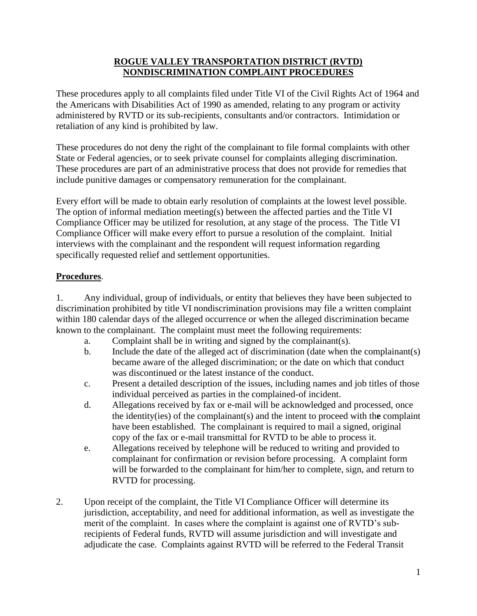# **ROGUE VALLEY TRANSPORTATION DISTRICT (RVTD) NONDISCRIMINATION COMPLAINT PROCEDURES**

These procedures apply to all complaints filed under Title VI of the Civil Rights Act of 1964 and the Americans with Disabilities Act of 1990 as amended, relating to any program or activity administered by RVTD or its sub-recipients, consultants and/or contractors. Intimidation or retaliation of any kind is prohibited by law.

These procedures do not deny the right of the complainant to file formal complaints with other State or Federal agencies, or to seek private counsel for complaints alleging discrimination. These procedures are part of an administrative process that does not provide for remedies that include punitive damages or compensatory remuneration for the complainant.

Every effort will be made to obtain early resolution of complaints at the lowest level possible. The option of informal mediation meeting(s) between the affected parties and the Title VI Compliance Officer may be utilized for resolution, at any stage of the process. The Title VI Compliance Officer will make every effort to pursue a resolution of the complaint. Initial interviews with the complainant and the respondent will request information regarding specifically requested relief and settlement opportunities.

# **Procedures**.

1. Any individual, group of individuals, or entity that believes they have been subjected to discrimination prohibited by title VI nondiscrimination provisions may file a written complaint within 180 calendar days of the alleged occurrence or when the alleged discrimination became known to the complainant. The complaint must meet the following requirements:

- a. Complaint shall be in writing and signed by the complainant(s).
- b. Include the date of the alleged act of discrimination (date when the complainant(s) became aware of the alleged discrimination; or the date on which that conduct was discontinued or the latest instance of the conduct.
- c. Present a detailed description of the issues, including names and job titles of those individual perceived as parties in the complained-of incident.
- d. Allegations received by fax or e-mail will be acknowledged and processed, once the identity(ies) of the complainant(s) and the intent to proceed with th**e** complaint have been established.The complainant is required to mail a signed, original copy of the fax or e-mail transmittal for RVTD to be able to process it.
- e. Allegations received by telephone will be reduced to writing and provided to complainant for confirmation or revision before processing. A complaint form will be forwarded to the complainant for him/her to complete, sign, and return to RVTD for processing.
- 2. Upon receipt of the complaint, the Title VI Compliance Officer will determine its jurisdiction, acceptability, and need for additional information, as well as investigate the merit of the complaint. In cases where the complaint is against one of RVTD's subrecipients of Federal funds, RVTD will assume jurisdiction and will investigate and adjudicate the case. Complaints against RVTD will be referred to the Federal Transit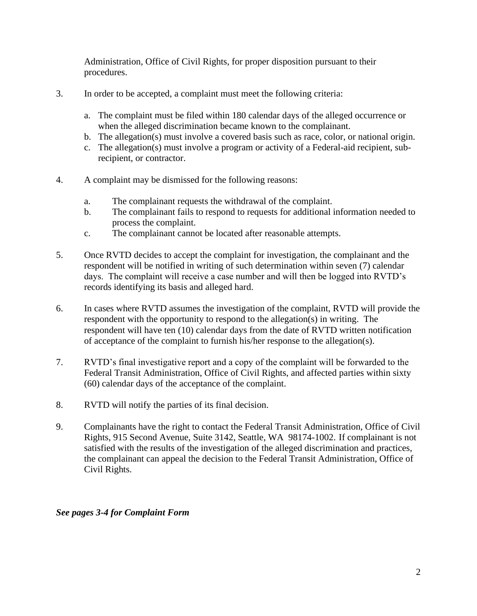Administration, Office of Civil Rights, for proper disposition pursuant to their procedures.

- 3. In order to be accepted, a complaint must meet the following criteria:
	- a. The complaint must be filed within 180 calendar days of the alleged occurrence or when the alleged discrimination became known to the complainant.
	- b. The allegation(s) must involve a covered basis such as race, color, or national origin.
	- c. The allegation(s) must involve a program or activity of a Federal-aid recipient, subrecipient, or contractor.
- 4. A complaint may be dismissed for the following reasons:
	- a. The complainant requests the withdrawal of the complaint.
	- b. The complainant fails to respond to requests for additional information needed to process the complaint.
	- c. The complainant cannot be located after reasonable attempts.
- 5. Once RVTD decides to accept the complaint for investigation, the complainant and the respondent will be notified in writing of such determination within seven (7) calendar days. The complaint will receive a case number and will then be logged into RVTD's records identifying its basis and alleged hard.
- 6. In cases where RVTD assumes the investigation of the complaint, RVTD will provide the respondent with the opportunity to respond to the allegation(s) in writing. The respondent will have ten (10) calendar days from the date of RVTD written notification of acceptance of the complaint to furnish his/her response to the allegation(s).
- 7. RVTD's final investigative report and a copy of the complaint will be forwarded to the Federal Transit Administration, Office of Civil Rights, and affected parties within sixty (60) calendar days of the acceptance of the complaint.
- 8. RVTD will notify the parties of its final decision.
- 9. Complainants have the right to contact the Federal Transit Administration, Office of Civil Rights, 915 Second Avenue, Suite 3142, Seattle, WA 98174-1002. If complainant is not satisfied with the results of the investigation of the alleged discrimination and practices, the complainant can appeal the decision to the Federal Transit Administration, Office of Civil Rights.

#### *See pages 3-4 for Complaint Form*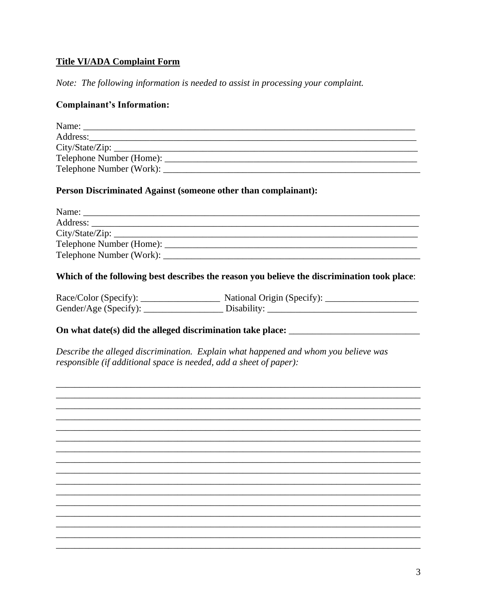# **Title VI/ADA Complaint Form**

Note: The following information is needed to assist in processing your complaint.

### **Complainant's Information:**

| Name:                    |  |
|--------------------------|--|
| Address:                 |  |
| City/State/Zip:          |  |
|                          |  |
| Telephone Number (Work): |  |

#### Person Discriminated Against (someone other than complainant):

| Name: $\frac{1}{\sqrt{1-\frac{1}{2}}\sqrt{1-\frac{1}{2}}\sqrt{1-\frac{1}{2}}\sqrt{1-\frac{1}{2}}}}$ |                 |
|-----------------------------------------------------------------------------------------------------|-----------------|
|                                                                                                     |                 |
|                                                                                                     | City/State/Zip: |
|                                                                                                     |                 |
|                                                                                                     |                 |
|                                                                                                     |                 |

#### Which of the following best describes the reason you believe the discrimination took place:

| Race/Color (Specify): | National Origin (Specify): |
|-----------------------|----------------------------|
| Gender/Age (Specify): | Disability:                |

#### On what date(s) did the alleged discrimination take place: \_\_\_\_\_\_\_\_\_\_\_\_\_\_\_\_\_\_\_\_\_

Describe the alleged discrimination. Explain what happened and whom you believe was responsible (if additional space is needed, add a sheet of paper):